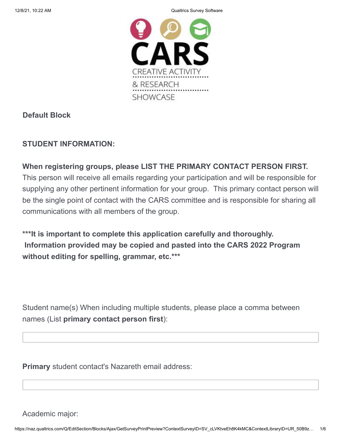12/8/21, 10:22 AM Qualtrics Survey Software



## **Default Block**

## **STUDENT INFORMATION:**

## **When registering groups, please LIST THE PRIMARY CONTACT PERSON FIRST.**

This person will receive all emails regarding your participation and will be responsible for supplying any other pertinent information for your group. This primary contact person will be the single point of contact with the CARS committee and is responsible for sharing all communications with all members of the group.

**\*\*\*It is important to complete this application carefully and thoroughly. Information provided may be copied and pasted into the CARS 2022 Program without editing for spelling, grammar, etc.\*\*\***

Student name(s) When including multiple students, please place a comma between names (List **primary contact person first**):

**Primary** student contact's Nazareth email address:

Academic major: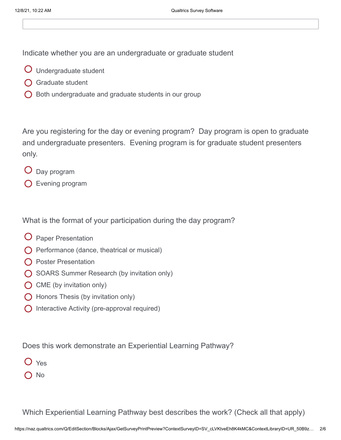Indicate whether you are an undergraduate or graduate student

- Undergraduate student
- **O** Graduate student
- $\bigcirc$  Both undergraduate and graduate students in our group

Are you registering for the day or evening program? Day program is open to graduate and undergraduate presenters. Evening program is for graduate student presenters only.

- Day program
- Evening program

What is the format of your participation during the day program?

- Paper Presentation
- $\bigcirc$  Performance (dance, theatrical or musical)
- **O** Poster Presentation
- **O** SOARS Summer Research (by invitation only)
- $\bigcirc$  CME (by invitation only)
- $\bigcirc$  Honors Thesis (by invitation only)
- **O** Interactive Activity (pre-approval required)

Does this work demonstrate an Experiential Learning Pathway?

- Yes
- $\bigcap$  No

Which Experiential Learning Pathway best describes the work? (Check all that apply)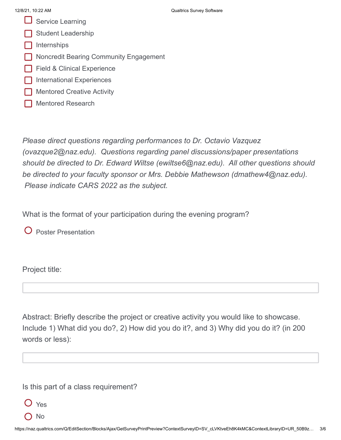- $\Box$  Service Learning
- Student Leadership
- Internships
- **Noncredit Bearing Community Engagement**
- **Field & Clinical Experience**
- International Experiences
- Mentored Creative Activity
- Mentored Research

*Please direct questions regarding performances to Dr. Octavio Vazquez (ovazque2@naz.edu). Questions regarding panel discussions/paper presentations should be directed to Dr. Edward Wiltse (ewiltse6@naz.edu). All other questions should be directed to your faculty sponsor or Mrs. Debbie Mathewson (dmathew4@naz.edu). Please indicate CARS 2022 as the subject.*

What is the format of your participation during the evening program?

**O** Poster Presentation

Project title:

Abstract: Briefly describe the project or creative activity you would like to showcase. Include 1) What did you do?, 2) How did you do it?, and 3) Why did you do it? (in 200 words or less):

Is this part of a class requirement?

Yes

( ) No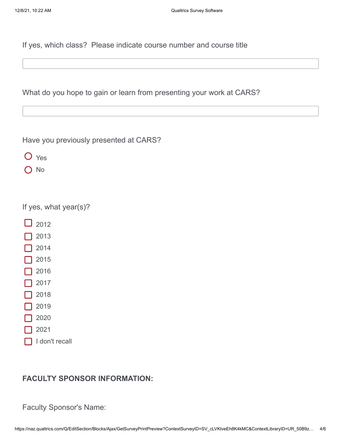If yes, which class? Please indicate course number and course title

What do you hope to gain or learn from presenting your work at CARS?

Have you previously presented at CARS?

- O Yes
- $\bigcap$  No

| If yes, what year(s)? |
|-----------------------|
|-----------------------|

- $\Box$  2012
- 2013
- 2014
- 2015
- 2016
- 2017
- 2018
- 2019
- 2020
- 2021
- I don't recall

## **FACULTY SPONSOR INFORMATION:**

Faculty Sponsor's Name: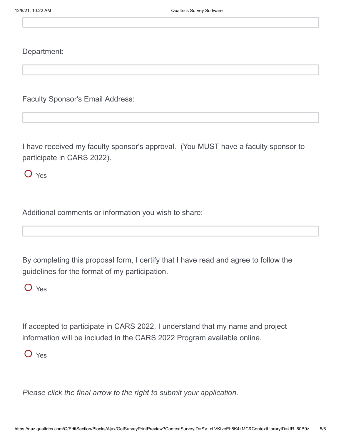Department:

Faculty Sponsor's Email Address:

I have received my faculty sponsor's approval. (You MUST have a faculty sponsor to participate in CARS 2022).

O Yes

Additional comments or information you wish to share:

By completing this proposal form, I certify that I have read and agree to follow the guidelines for the format of my participation.

O Yes

If accepted to participate in CARS 2022, I understand that my name and project information will be included in the CARS 2022 Program available online.

Yes

*Please click the final arrow to the right to submit your application.*